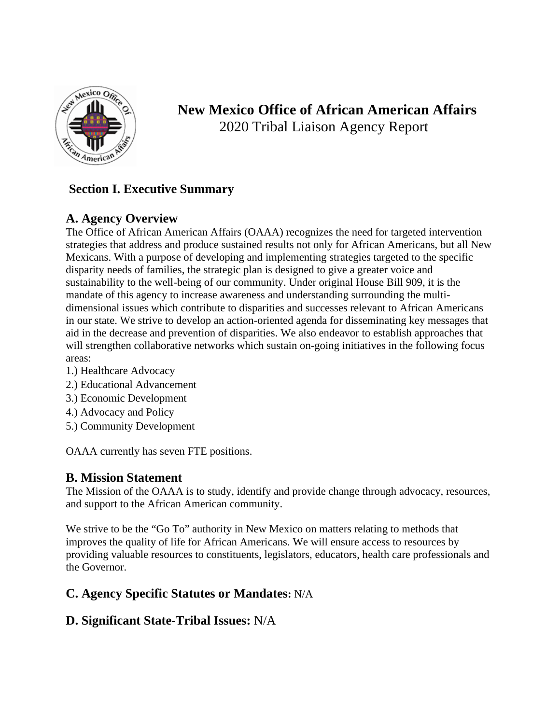

**New Mexico Office of African American Affairs** 2020 Tribal Liaison Agency Report

# **Section I. Executive Summary**

# **A. Agency Overview**

The Office of African American Affairs (OAAA) recognizes the need for targeted intervention strategies that address and produce sustained results not only for African Americans, but all New Mexicans. With a purpose of developing and implementing strategies targeted to the specific disparity needs of families, the strategic plan is designed to give a greater voice and sustainability to the well-being of our community. Under original House Bill 909, it is the mandate of this agency to increase awareness and understanding surrounding the multidimensional issues which contribute to disparities and successes relevant to African Americans in our state. We strive to develop an action-oriented agenda for disseminating key messages that aid in the decrease and prevention of disparities. We also endeavor to establish approaches that will strengthen collaborative networks which sustain on-going initiatives in the following focus areas:

- 1.) Healthcare Advocacy
- 2.) Educational Advancement
- 3.) Economic Development
- 4.) Advocacy and Policy
- 5.) Community Development

OAAA currently has seven FTE positions.

## **B. Mission Statement**

The Mission of the OAAA is to study, identify and provide change through advocacy, resources, and support to the African American community.

We strive to be the "Go To" authority in New Mexico on matters relating to methods that improves the quality of life for African Americans. We will ensure access to resources by providing valuable resources to constituents, legislators, educators, health care professionals and the Governor.

## **C. Agency Specific Statutes or Mandates:** N/A

## **D. Significant State-Tribal Issues:** N/A